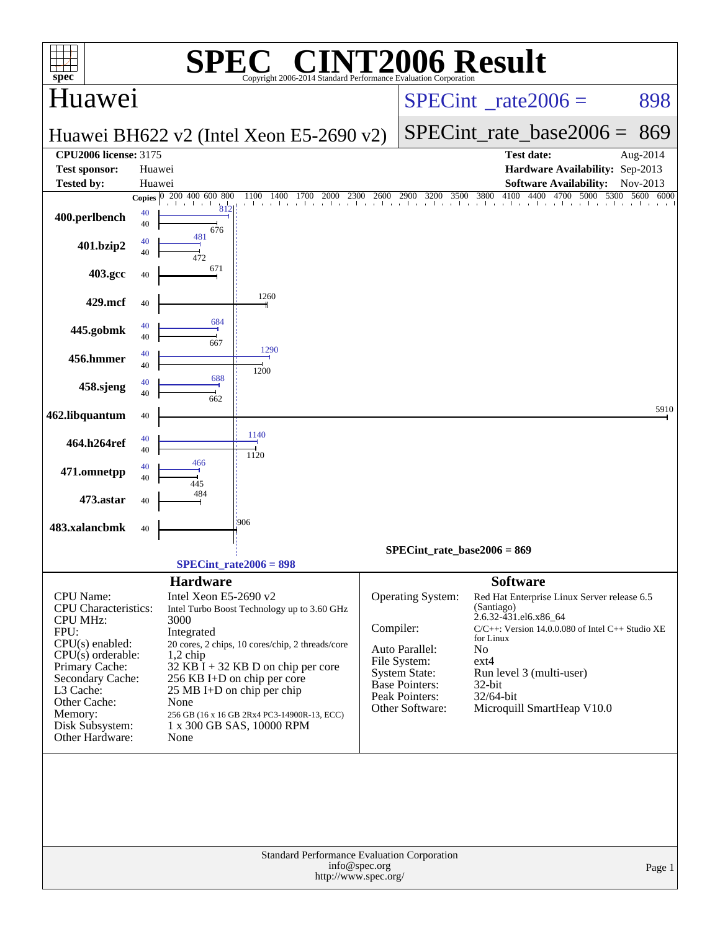|                                                      |          | SPI                             | $\bigcap$                                                                |               | <b>INT2006 Result</b>                |                                 |                                                      |                   |
|------------------------------------------------------|----------|---------------------------------|--------------------------------------------------------------------------|---------------|--------------------------------------|---------------------------------|------------------------------------------------------|-------------------|
| $spec^*$<br>Huawei                                   |          |                                 | Copyright 2006-2014 Standard Performance Evaluation Corporation          |               |                                      | $SPECint^{\circ}$ rate $2006 =$ | 898                                                  |                   |
|                                                      |          |                                 |                                                                          |               |                                      |                                 |                                                      |                   |
|                                                      |          |                                 | Huawei BH622 v2 (Intel Xeon E5-2690 v2)                                  |               |                                      | SPECint rate base $2006 =$      | 869                                                  |                   |
| <b>CPU2006 license: 3175</b><br><b>Test sponsor:</b> |          | Huawei                          |                                                                          |               |                                      |                                 | <b>Test date:</b><br>Hardware Availability: Sep-2013 | Aug-2014          |
| <b>Tested by:</b>                                    | Huawei   |                                 |                                                                          |               |                                      |                                 | <b>Software Availability:</b>                        | Nov-2013          |
|                                                      |          | Copies 0 200 400 600 800<br>812 | 2000<br>2300<br>1100<br>1400<br>1700                                     | 2600          | 2900<br>3200                         | 3500 3800                       | 4100 4400 4700 5000                                  | 5300<br>5600 6000 |
| 400.perlbench                                        | 40<br>40 | 676                             |                                                                          |               |                                      |                                 |                                                      |                   |
| 401.bzip2                                            | 40<br>40 | 481                             |                                                                          |               |                                      |                                 |                                                      |                   |
| 403.gcc                                              | 40       | 472<br>671                      |                                                                          |               |                                      |                                 |                                                      |                   |
| 429.mcf                                              | 40       |                                 | 1260                                                                     |               |                                      |                                 |                                                      |                   |
|                                                      | 40       | 684                             |                                                                          |               |                                      |                                 |                                                      |                   |
| 445.gobmk                                            | 40       | 667                             | 1290                                                                     |               |                                      |                                 |                                                      |                   |
| 456.hmmer                                            | 40<br>40 |                                 | 1200                                                                     |               |                                      |                                 |                                                      |                   |
| 458.sjeng                                            | 40<br>40 | 688<br>662                      |                                                                          |               |                                      |                                 |                                                      |                   |
| 462.libquantum                                       | 40       |                                 |                                                                          |               |                                      |                                 |                                                      | 5910              |
| 464.h264ref                                          | 40<br>40 |                                 | 1140                                                                     |               |                                      |                                 |                                                      |                   |
| 471.omnetpp                                          | 40       | 466                             | 1120                                                                     |               |                                      |                                 |                                                      |                   |
|                                                      | 40       | 445<br>484                      |                                                                          |               |                                      |                                 |                                                      |                   |
| 473.astar                                            | 40       |                                 | 906                                                                      |               |                                      |                                 |                                                      |                   |
| 483.xalancbmk                                        | 40       |                                 |                                                                          |               |                                      |                                 |                                                      |                   |
|                                                      |          |                                 | $SPECint_rate2006 = 898$                                                 |               | $SPECint_rate_base2006 = 869$        |                                 |                                                      |                   |
|                                                      |          | <b>Hardware</b>                 |                                                                          |               |                                      | <b>Software</b>                 |                                                      |                   |
| CPU Name:                                            |          | Intel Xeon E5-2690 v2           |                                                                          |               | Operating System:                    | (Santiago)                      | Red Hat Enterprise Linux Server release 6.5          |                   |
| <b>CPU</b> Characteristics:<br><b>CPU MHz:</b>       |          | 3000                            | Intel Turbo Boost Technology up to 3.60 GHz                              |               |                                      | 2.6.32-431.el6.x86_64           |                                                      |                   |
| FPU:                                                 |          | Integrated                      |                                                                          | Compiler:     |                                      | for Linux                       | $C/C++$ : Version 14.0.0.080 of Intel C++ Studio XE  |                   |
| $CPU(s)$ enabled:<br>$CPU(s)$ orderable:             |          | $1,2$ chip                      | 20 cores, 2 chips, 10 cores/chip, 2 threads/core                         |               | Auto Parallel:                       | No                              |                                                      |                   |
| Primary Cache:                                       |          |                                 | $32$ KB $\overline{I}$ + 32 KB D on chip per core                        |               | File System:<br><b>System State:</b> | $ext{4}$                        | Run level 3 (multi-user)                             |                   |
| Secondary Cache:<br>L3 Cache:                        |          |                                 | 256 KB I+D on chip per core<br>$25 \text{ MB I+D}$ on chip per chip      |               | Base Pointers:                       | $32$ -bit                       |                                                      |                   |
| Other Cache:                                         |          | None                            |                                                                          |               | Peak Pointers:<br>Other Software:    | 32/64-bit                       | Microquill SmartHeap V10.0                           |                   |
| Memory:<br>Disk Subsystem:                           |          |                                 | 256 GB (16 x 16 GB 2Rx4 PC3-14900R-13, ECC)<br>1 x 300 GB SAS, 10000 RPM |               |                                      |                                 |                                                      |                   |
| Other Hardware:                                      |          | None                            |                                                                          |               |                                      |                                 |                                                      |                   |
|                                                      |          |                                 |                                                                          |               |                                      |                                 |                                                      |                   |
|                                                      |          |                                 | Standard Performance Evaluation Corporation<br>http://www.spec.org/      | info@spec.org |                                      |                                 |                                                      | Page 1            |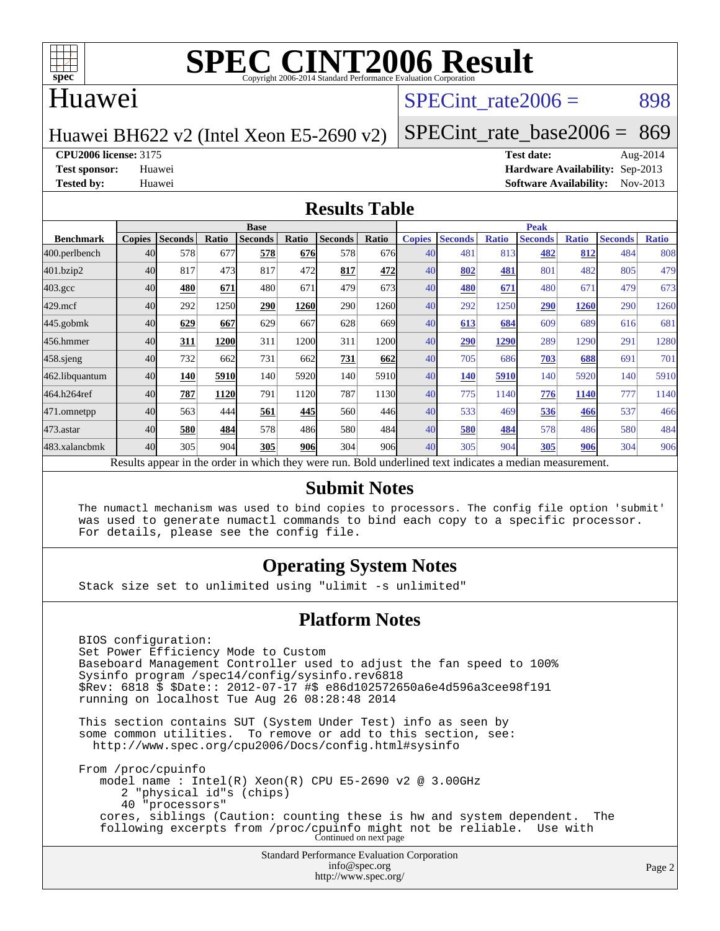

#### Huawei

#### SPECint rate $2006 = 898$

Huawei BH622 v2 (Intel Xeon E5-2690 v2)

[SPECint\\_rate\\_base2006 =](http://www.spec.org/auto/cpu2006/Docs/result-fields.html#SPECintratebase2006) 869

**[CPU2006 license:](http://www.spec.org/auto/cpu2006/Docs/result-fields.html#CPU2006license)** 3175 **[Test date:](http://www.spec.org/auto/cpu2006/Docs/result-fields.html#Testdate)** Aug-2014

**[Test sponsor:](http://www.spec.org/auto/cpu2006/Docs/result-fields.html#Testsponsor)** Huawei **[Hardware Availability:](http://www.spec.org/auto/cpu2006/Docs/result-fields.html#HardwareAvailability)** Sep-2013 **[Tested by:](http://www.spec.org/auto/cpu2006/Docs/result-fields.html#Testedby)** Huawei **[Software Availability:](http://www.spec.org/auto/cpu2006/Docs/result-fields.html#SoftwareAvailability)** Nov-2013

#### **[Results Table](http://www.spec.org/auto/cpu2006/Docs/result-fields.html#ResultsTable)**

|                                                                                                          | <b>Base</b>   |                |       |                |       |                |       | <b>Peak</b>   |                |              |                |              |                |              |
|----------------------------------------------------------------------------------------------------------|---------------|----------------|-------|----------------|-------|----------------|-------|---------------|----------------|--------------|----------------|--------------|----------------|--------------|
| <b>Benchmark</b>                                                                                         | <b>Copies</b> | <b>Seconds</b> | Ratio | <b>Seconds</b> | Ratio | <b>Seconds</b> | Ratio | <b>Copies</b> | <b>Seconds</b> | <b>Ratio</b> | <b>Seconds</b> | <b>Ratio</b> | <b>Seconds</b> | <b>Ratio</b> |
| 400.perlbench                                                                                            | 40            | 578            | 677   | 578            | 676   | 578            | 676   | 40            | 481            | 813          | 482            | 812          | 484            | 808          |
| 401.bzip2                                                                                                | 40            | 817            | 473   | 817            | 472   | 817            | 472   | 40            | 802            | 481          | 801            | 482          | 805            | 479          |
| $403.\mathrm{gcc}$                                                                                       | 40            | 480            | 671   | 480            | 671   | 479            | 673   | 40            | <b>480</b>     | 671          | 480            | 671          | 479            | 673          |
| $429$ .mcf                                                                                               | 40            | 292            | 1250  | 290            | 1260  | 290            | 1260  | 40            | 292            | 1250         | 290            | 1260         | 290            | 1260         |
| $445$ .gobm $k$                                                                                          | 40            | 629            | 667   | 629            | 667   | 628            | 669I  | 40            | 613            | 684          | 609            | 689          | 616            | 681          |
| 456.hmmer                                                                                                | 40            | 311            | 1200  | 311            | 1200  | 311            | 1200  | 40            | 290            | 1290         | 289            | 1290         | 291            | 1280         |
| 458 sjeng                                                                                                | 40            | 732            | 662   | 731            | 662   | 731            | 662   | 40            | 705            | 686          | 703            | 688          | 691            | 701          |
| 462.libquantum                                                                                           | 40            | 140            | 5910  | 140            | 5920  | 140            | 5910  | 40            | 140            | 5910         | 140            | 5920         | 140            | 5910         |
| 464.h264ref                                                                                              | 40            | 787            | 1120  | 791            | 1120  | 787            | 1130  | 40            | 775            | 1140         | 776            | <b>1140</b>  | 777            | 1140         |
| 471.omnetpp                                                                                              | 40            | 563            | 444   | 561            | 445   | 560            | 446   | 40            | 533            | 469          | 536            | 466          | 537            | 466          |
| $473.$ astar                                                                                             | 40            | 580            | 484   | 578            | 486   | 580            | 484   | 40            | 580            | 484          | 578            | 486          | 580            | 484          |
| 483.xalancbmk                                                                                            | 40            | 305            | 904   | 305            | 906   | 304            | 906   | 40            | 305            | 904          | 305            | 906          | 304            | 906          |
| Results appear in the order in which they were run. Bold underlined text indicates a median measurement. |               |                |       |                |       |                |       |               |                |              |                |              |                |              |

#### **[Submit Notes](http://www.spec.org/auto/cpu2006/Docs/result-fields.html#SubmitNotes)**

 The numactl mechanism was used to bind copies to processors. The config file option 'submit' was used to generate numactl commands to bind each copy to a specific processor. For details, please see the config file.

#### **[Operating System Notes](http://www.spec.org/auto/cpu2006/Docs/result-fields.html#OperatingSystemNotes)**

Stack size set to unlimited using "ulimit -s unlimited"

#### **[Platform Notes](http://www.spec.org/auto/cpu2006/Docs/result-fields.html#PlatformNotes)**

 BIOS configuration: Set Power Efficiency Mode to Custom Baseboard Management Controller used to adjust the fan speed to 100% Sysinfo program /spec14/config/sysinfo.rev6818 \$Rev: 6818 \$ \$Date:: 2012-07-17 #\$ e86d102572650a6e4d596a3cee98f191 running on localhost Tue Aug 26 08:28:48 2014 This section contains SUT (System Under Test) info as seen by some common utilities. To remove or add to this section, see: <http://www.spec.org/cpu2006/Docs/config.html#sysinfo>

 From /proc/cpuinfo model name : Intel(R) Xeon(R) CPU E5-2690 v2 @ 3.00GHz 2 "physical id"s (chips) 40 "processors" cores, siblings (Caution: counting these is hw and system dependent. The following excerpts from /proc/cpuinfo might not be reliable. Use with Continued on next page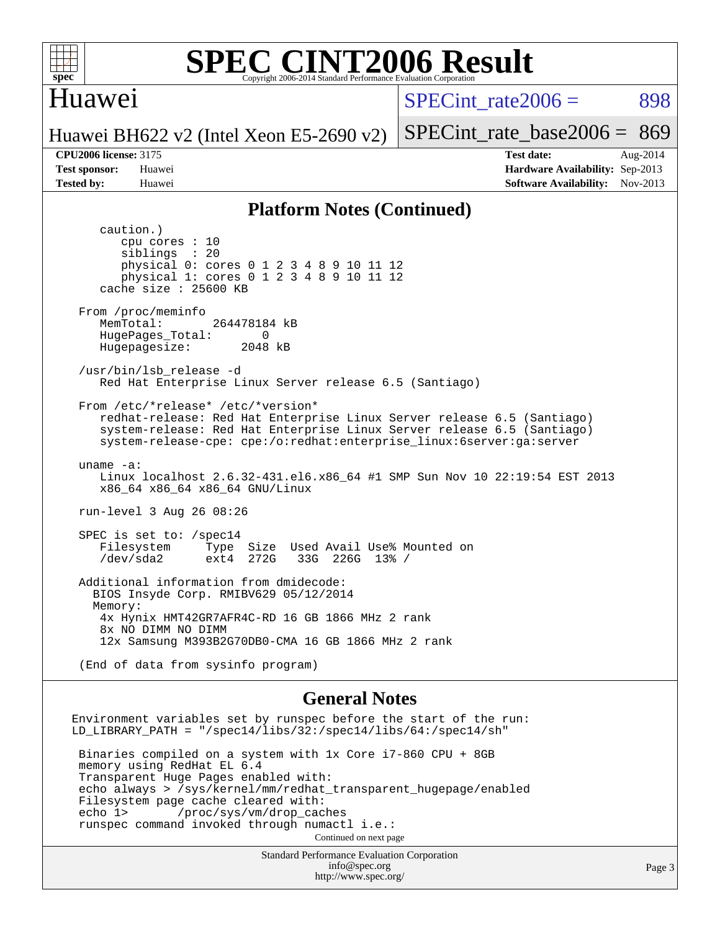

#### Huawei

SPECint rate $2006 = 898$ 

Huawei BH622 v2 (Intel Xeon E5-2690 v2) [SPECint\\_rate\\_base2006 =](http://www.spec.org/auto/cpu2006/Docs/result-fields.html#SPECintratebase2006) 869

**[CPU2006 license:](http://www.spec.org/auto/cpu2006/Docs/result-fields.html#CPU2006license)** 3175 **[Test date:](http://www.spec.org/auto/cpu2006/Docs/result-fields.html#Testdate)** Aug-2014 **[Test sponsor:](http://www.spec.org/auto/cpu2006/Docs/result-fields.html#Testsponsor)** Huawei **[Hardware Availability:](http://www.spec.org/auto/cpu2006/Docs/result-fields.html#HardwareAvailability)** Sep-2013 **[Tested by:](http://www.spec.org/auto/cpu2006/Docs/result-fields.html#Testedby)** Huawei **[Software Availability:](http://www.spec.org/auto/cpu2006/Docs/result-fields.html#SoftwareAvailability)** Nov-2013

#### **[Platform Notes \(Continued\)](http://www.spec.org/auto/cpu2006/Docs/result-fields.html#PlatformNotes)**

 caution.) cpu cores : 10 siblings : 20 physical 0: cores 0 1 2 3 4 8 9 10 11 12 physical 1: cores 0 1 2 3 4 8 9 10 11 12 cache size : 25600 KB From /proc/meminfo MemTotal: 264478184 kB HugePages\_Total: 0<br>Hugepagesize: 2048 kB Hugepagesize: /usr/bin/lsb\_release -d Red Hat Enterprise Linux Server release 6.5 (Santiago) From /etc/\*release\* /etc/\*version\* redhat-release: Red Hat Enterprise Linux Server release 6.5 (Santiago) system-release: Red Hat Enterprise Linux Server release 6.5 (Santiago) system-release-cpe: cpe:/o:redhat:enterprise\_linux:6server:ga:server uname -a: Linux localhost 2.6.32-431.el6.x86\_64 #1 SMP Sun Nov 10 22:19:54 EST 2013 x86\_64 x86\_64 x86\_64 GNU/Linux run-level 3 Aug 26 08:26 SPEC is set to: /spec14 Filesystem Type Size Used Avail Use% Mounted on<br>
/dev/sda2 ext4 272G 33G 226G 13% / 33G 226G 13% / Additional information from dmidecode: BIOS Insyde Corp. RMIBV629 05/12/2014 Memory: 4x Hynix HMT42GR7AFR4C-RD 16 GB 1866 MHz 2 rank 8x NO DIMM NO DIMM 12x Samsung M393B2G70DB0-CMA 16 GB 1866 MHz 2 rank (End of data from sysinfo program) **[General Notes](http://www.spec.org/auto/cpu2006/Docs/result-fields.html#GeneralNotes)** Environment variables set by runspec before the start of the run: LD\_LIBRARY\_PATH = "/spec14/libs/32:/spec14/libs/64:/spec14/sh" Binaries compiled on a system with 1x Core i7-860 CPU + 8GB

 memory using RedHat EL 6.4 Transparent Huge Pages enabled with: echo always > /sys/kernel/mm/redhat\_transparent\_hugepage/enabled Filesystem page cache cleared with:<br>echo 1> /proc/sys/vm/drop cac /proc/sys/vm/drop\_caches runspec command invoked through numactl i.e.: Continued on next page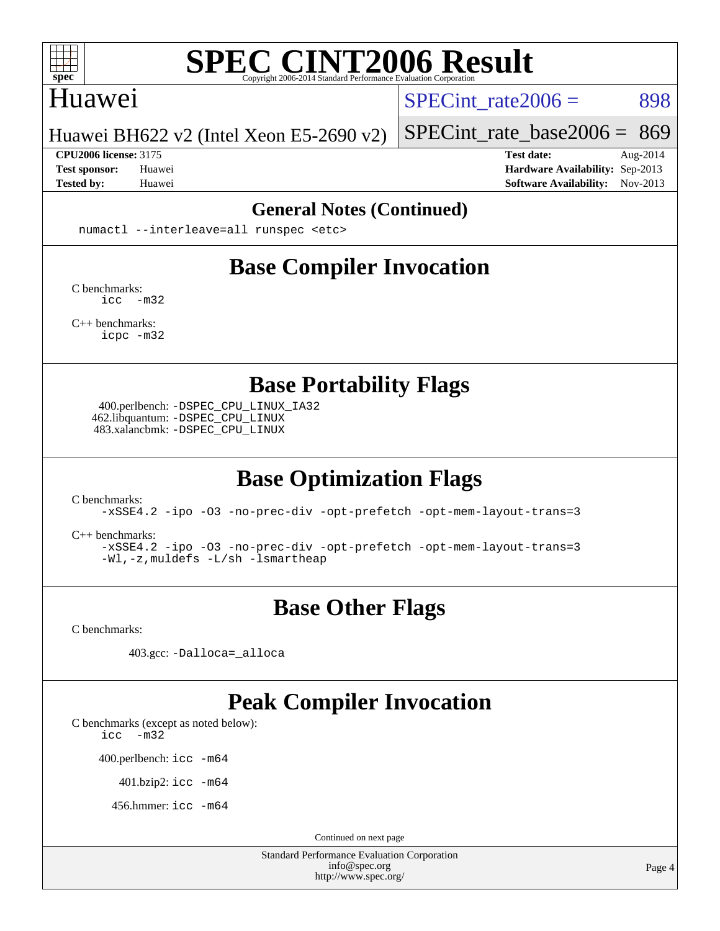

#### Huawei

SPECint rate $2006 = 898$ 

[SPECint\\_rate\\_base2006 =](http://www.spec.org/auto/cpu2006/Docs/result-fields.html#SPECintratebase2006) 869

Huawei BH622 v2 (Intel Xeon E5-2690 v2)

**[Tested by:](http://www.spec.org/auto/cpu2006/Docs/result-fields.html#Testedby)** Huawei **[Software Availability:](http://www.spec.org/auto/cpu2006/Docs/result-fields.html#SoftwareAvailability)** Nov-2013

**[CPU2006 license:](http://www.spec.org/auto/cpu2006/Docs/result-fields.html#CPU2006license)** 3175 **[Test date:](http://www.spec.org/auto/cpu2006/Docs/result-fields.html#Testdate)** Aug-2014 **[Test sponsor:](http://www.spec.org/auto/cpu2006/Docs/result-fields.html#Testsponsor)** Huawei **[Hardware Availability:](http://www.spec.org/auto/cpu2006/Docs/result-fields.html#HardwareAvailability)** Sep-2013

#### **[General Notes \(Continued\)](http://www.spec.org/auto/cpu2006/Docs/result-fields.html#GeneralNotes)**

numactl --interleave=all runspec <etc>

# **[Base Compiler Invocation](http://www.spec.org/auto/cpu2006/Docs/result-fields.html#BaseCompilerInvocation)**

[C benchmarks](http://www.spec.org/auto/cpu2006/Docs/result-fields.html#Cbenchmarks): [icc -m32](http://www.spec.org/cpu2006/results/res2014q3/cpu2006-20140829-31101.flags.html#user_CCbase_intel_icc_5ff4a39e364c98233615fdd38438c6f2)

[C++ benchmarks:](http://www.spec.org/auto/cpu2006/Docs/result-fields.html#CXXbenchmarks) [icpc -m32](http://www.spec.org/cpu2006/results/res2014q3/cpu2006-20140829-31101.flags.html#user_CXXbase_intel_icpc_4e5a5ef1a53fd332b3c49e69c3330699)

**[Base Portability Flags](http://www.spec.org/auto/cpu2006/Docs/result-fields.html#BasePortabilityFlags)**

 400.perlbench: [-DSPEC\\_CPU\\_LINUX\\_IA32](http://www.spec.org/cpu2006/results/res2014q3/cpu2006-20140829-31101.flags.html#b400.perlbench_baseCPORTABILITY_DSPEC_CPU_LINUX_IA32) 462.libquantum: [-DSPEC\\_CPU\\_LINUX](http://www.spec.org/cpu2006/results/res2014q3/cpu2006-20140829-31101.flags.html#b462.libquantum_baseCPORTABILITY_DSPEC_CPU_LINUX) 483.xalancbmk: [-DSPEC\\_CPU\\_LINUX](http://www.spec.org/cpu2006/results/res2014q3/cpu2006-20140829-31101.flags.html#b483.xalancbmk_baseCXXPORTABILITY_DSPEC_CPU_LINUX)

# **[Base Optimization Flags](http://www.spec.org/auto/cpu2006/Docs/result-fields.html#BaseOptimizationFlags)**

[C benchmarks](http://www.spec.org/auto/cpu2006/Docs/result-fields.html#Cbenchmarks):

[-xSSE4.2](http://www.spec.org/cpu2006/results/res2014q3/cpu2006-20140829-31101.flags.html#user_CCbase_f-xSSE42_f91528193cf0b216347adb8b939d4107) [-ipo](http://www.spec.org/cpu2006/results/res2014q3/cpu2006-20140829-31101.flags.html#user_CCbase_f-ipo) [-O3](http://www.spec.org/cpu2006/results/res2014q3/cpu2006-20140829-31101.flags.html#user_CCbase_f-O3) [-no-prec-div](http://www.spec.org/cpu2006/results/res2014q3/cpu2006-20140829-31101.flags.html#user_CCbase_f-no-prec-div) [-opt-prefetch](http://www.spec.org/cpu2006/results/res2014q3/cpu2006-20140829-31101.flags.html#user_CCbase_f-opt-prefetch) [-opt-mem-layout-trans=3](http://www.spec.org/cpu2006/results/res2014q3/cpu2006-20140829-31101.flags.html#user_CCbase_f-opt-mem-layout-trans_a7b82ad4bd7abf52556d4961a2ae94d5)

[C++ benchmarks:](http://www.spec.org/auto/cpu2006/Docs/result-fields.html#CXXbenchmarks)

[-xSSE4.2](http://www.spec.org/cpu2006/results/res2014q3/cpu2006-20140829-31101.flags.html#user_CXXbase_f-xSSE42_f91528193cf0b216347adb8b939d4107) [-ipo](http://www.spec.org/cpu2006/results/res2014q3/cpu2006-20140829-31101.flags.html#user_CXXbase_f-ipo) [-O3](http://www.spec.org/cpu2006/results/res2014q3/cpu2006-20140829-31101.flags.html#user_CXXbase_f-O3) [-no-prec-div](http://www.spec.org/cpu2006/results/res2014q3/cpu2006-20140829-31101.flags.html#user_CXXbase_f-no-prec-div) [-opt-prefetch](http://www.spec.org/cpu2006/results/res2014q3/cpu2006-20140829-31101.flags.html#user_CXXbase_f-opt-prefetch) [-opt-mem-layout-trans=3](http://www.spec.org/cpu2006/results/res2014q3/cpu2006-20140829-31101.flags.html#user_CXXbase_f-opt-mem-layout-trans_a7b82ad4bd7abf52556d4961a2ae94d5) [-Wl,-z,muldefs](http://www.spec.org/cpu2006/results/res2014q3/cpu2006-20140829-31101.flags.html#user_CXXbase_link_force_multiple1_74079c344b956b9658436fd1b6dd3a8a) [-L/sh -lsmartheap](http://www.spec.org/cpu2006/results/res2014q3/cpu2006-20140829-31101.flags.html#user_CXXbase_SmartHeap_32f6c82aa1ed9c52345d30cf6e4a0499)

### **[Base Other Flags](http://www.spec.org/auto/cpu2006/Docs/result-fields.html#BaseOtherFlags)**

[C benchmarks](http://www.spec.org/auto/cpu2006/Docs/result-fields.html#Cbenchmarks):

403.gcc: [-Dalloca=\\_alloca](http://www.spec.org/cpu2006/results/res2014q3/cpu2006-20140829-31101.flags.html#b403.gcc_baseEXTRA_CFLAGS_Dalloca_be3056838c12de2578596ca5467af7f3)

### **[Peak Compiler Invocation](http://www.spec.org/auto/cpu2006/Docs/result-fields.html#PeakCompilerInvocation)**

[C benchmarks \(except as noted below\)](http://www.spec.org/auto/cpu2006/Docs/result-fields.html#Cbenchmarksexceptasnotedbelow):

[icc -m32](http://www.spec.org/cpu2006/results/res2014q3/cpu2006-20140829-31101.flags.html#user_CCpeak_intel_icc_5ff4a39e364c98233615fdd38438c6f2)

400.perlbench: [icc -m64](http://www.spec.org/cpu2006/results/res2014q3/cpu2006-20140829-31101.flags.html#user_peakCCLD400_perlbench_intel_icc_64bit_bda6cc9af1fdbb0edc3795bac97ada53)

401.bzip2: [icc -m64](http://www.spec.org/cpu2006/results/res2014q3/cpu2006-20140829-31101.flags.html#user_peakCCLD401_bzip2_intel_icc_64bit_bda6cc9af1fdbb0edc3795bac97ada53)

456.hmmer: [icc -m64](http://www.spec.org/cpu2006/results/res2014q3/cpu2006-20140829-31101.flags.html#user_peakCCLD456_hmmer_intel_icc_64bit_bda6cc9af1fdbb0edc3795bac97ada53)

Continued on next page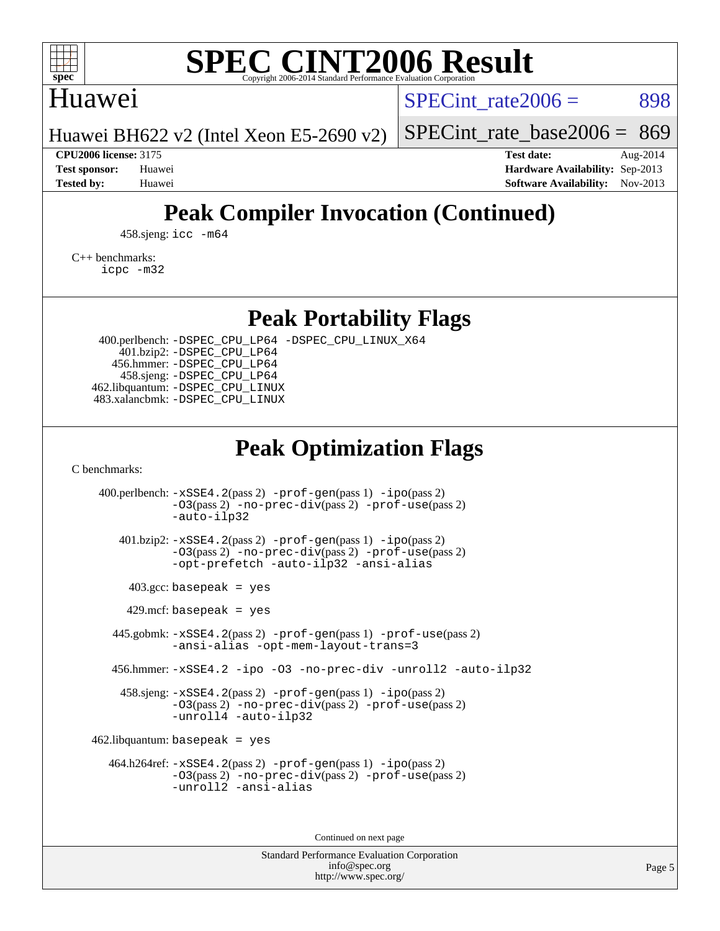

### Huawei

SPECint rate $2006 = 898$ 

Huawei BH622 v2 (Intel Xeon E5-2690 v2) [SPECint\\_rate\\_base2006 =](http://www.spec.org/auto/cpu2006/Docs/result-fields.html#SPECintratebase2006) 869

**[CPU2006 license:](http://www.spec.org/auto/cpu2006/Docs/result-fields.html#CPU2006license)** 3175 **[Test date:](http://www.spec.org/auto/cpu2006/Docs/result-fields.html#Testdate)** Aug-2014 **[Test sponsor:](http://www.spec.org/auto/cpu2006/Docs/result-fields.html#Testsponsor)** Huawei **[Hardware Availability:](http://www.spec.org/auto/cpu2006/Docs/result-fields.html#HardwareAvailability)** Sep-2013 **[Tested by:](http://www.spec.org/auto/cpu2006/Docs/result-fields.html#Testedby)** Huawei **[Software Availability:](http://www.spec.org/auto/cpu2006/Docs/result-fields.html#SoftwareAvailability)** Nov-2013

# **[Peak Compiler Invocation \(Continued\)](http://www.spec.org/auto/cpu2006/Docs/result-fields.html#PeakCompilerInvocation)**

458.sjeng: [icc -m64](http://www.spec.org/cpu2006/results/res2014q3/cpu2006-20140829-31101.flags.html#user_peakCCLD458_sjeng_intel_icc_64bit_bda6cc9af1fdbb0edc3795bac97ada53)

[C++ benchmarks:](http://www.spec.org/auto/cpu2006/Docs/result-fields.html#CXXbenchmarks) [icpc -m32](http://www.spec.org/cpu2006/results/res2014q3/cpu2006-20140829-31101.flags.html#user_CXXpeak_intel_icpc_4e5a5ef1a53fd332b3c49e69c3330699)

**[Peak Portability Flags](http://www.spec.org/auto/cpu2006/Docs/result-fields.html#PeakPortabilityFlags)**

 400.perlbench: [-DSPEC\\_CPU\\_LP64](http://www.spec.org/cpu2006/results/res2014q3/cpu2006-20140829-31101.flags.html#b400.perlbench_peakCPORTABILITY_DSPEC_CPU_LP64) [-DSPEC\\_CPU\\_LINUX\\_X64](http://www.spec.org/cpu2006/results/res2014q3/cpu2006-20140829-31101.flags.html#b400.perlbench_peakCPORTABILITY_DSPEC_CPU_LINUX_X64) 401.bzip2: [-DSPEC\\_CPU\\_LP64](http://www.spec.org/cpu2006/results/res2014q3/cpu2006-20140829-31101.flags.html#suite_peakCPORTABILITY401_bzip2_DSPEC_CPU_LP64) 456.hmmer: [-DSPEC\\_CPU\\_LP64](http://www.spec.org/cpu2006/results/res2014q3/cpu2006-20140829-31101.flags.html#suite_peakCPORTABILITY456_hmmer_DSPEC_CPU_LP64) 458.sjeng: [-DSPEC\\_CPU\\_LP64](http://www.spec.org/cpu2006/results/res2014q3/cpu2006-20140829-31101.flags.html#suite_peakCPORTABILITY458_sjeng_DSPEC_CPU_LP64) 462.libquantum: [-DSPEC\\_CPU\\_LINUX](http://www.spec.org/cpu2006/results/res2014q3/cpu2006-20140829-31101.flags.html#b462.libquantum_peakCPORTABILITY_DSPEC_CPU_LINUX) 483.xalancbmk: [-DSPEC\\_CPU\\_LINUX](http://www.spec.org/cpu2006/results/res2014q3/cpu2006-20140829-31101.flags.html#b483.xalancbmk_peakCXXPORTABILITY_DSPEC_CPU_LINUX)

# **[Peak Optimization Flags](http://www.spec.org/auto/cpu2006/Docs/result-fields.html#PeakOptimizationFlags)**

[C benchmarks](http://www.spec.org/auto/cpu2006/Docs/result-fields.html#Cbenchmarks):

 400.perlbench: [-xSSE4.2](http://www.spec.org/cpu2006/results/res2014q3/cpu2006-20140829-31101.flags.html#user_peakPASS2_CFLAGSPASS2_LDCFLAGS400_perlbench_f-xSSE42_f91528193cf0b216347adb8b939d4107)(pass 2) [-prof-gen](http://www.spec.org/cpu2006/results/res2014q3/cpu2006-20140829-31101.flags.html#user_peakPASS1_CFLAGSPASS1_LDCFLAGS400_perlbench_prof_gen_e43856698f6ca7b7e442dfd80e94a8fc)(pass 1) [-ipo](http://www.spec.org/cpu2006/results/res2014q3/cpu2006-20140829-31101.flags.html#user_peakPASS2_CFLAGSPASS2_LDCFLAGS400_perlbench_f-ipo)(pass 2) [-O3](http://www.spec.org/cpu2006/results/res2014q3/cpu2006-20140829-31101.flags.html#user_peakPASS2_CFLAGSPASS2_LDCFLAGS400_perlbench_f-O3)(pass 2) [-no-prec-div](http://www.spec.org/cpu2006/results/res2014q3/cpu2006-20140829-31101.flags.html#user_peakPASS2_CFLAGSPASS2_LDCFLAGS400_perlbench_f-no-prec-div)(pass 2) [-prof-use](http://www.spec.org/cpu2006/results/res2014q3/cpu2006-20140829-31101.flags.html#user_peakPASS2_CFLAGSPASS2_LDCFLAGS400_perlbench_prof_use_bccf7792157ff70d64e32fe3e1250b55)(pass 2) [-auto-ilp32](http://www.spec.org/cpu2006/results/res2014q3/cpu2006-20140829-31101.flags.html#user_peakCOPTIMIZE400_perlbench_f-auto-ilp32) 401.bzip2: [-xSSE4.2](http://www.spec.org/cpu2006/results/res2014q3/cpu2006-20140829-31101.flags.html#user_peakPASS2_CFLAGSPASS2_LDCFLAGS401_bzip2_f-xSSE42_f91528193cf0b216347adb8b939d4107)(pass 2) [-prof-gen](http://www.spec.org/cpu2006/results/res2014q3/cpu2006-20140829-31101.flags.html#user_peakPASS1_CFLAGSPASS1_LDCFLAGS401_bzip2_prof_gen_e43856698f6ca7b7e442dfd80e94a8fc)(pass 1) [-ipo](http://www.spec.org/cpu2006/results/res2014q3/cpu2006-20140829-31101.flags.html#user_peakPASS2_CFLAGSPASS2_LDCFLAGS401_bzip2_f-ipo)(pass 2) [-O3](http://www.spec.org/cpu2006/results/res2014q3/cpu2006-20140829-31101.flags.html#user_peakPASS2_CFLAGSPASS2_LDCFLAGS401_bzip2_f-O3)(pass 2) [-no-prec-div](http://www.spec.org/cpu2006/results/res2014q3/cpu2006-20140829-31101.flags.html#user_peakPASS2_CFLAGSPASS2_LDCFLAGS401_bzip2_f-no-prec-div)(pass 2) [-prof-use](http://www.spec.org/cpu2006/results/res2014q3/cpu2006-20140829-31101.flags.html#user_peakPASS2_CFLAGSPASS2_LDCFLAGS401_bzip2_prof_use_bccf7792157ff70d64e32fe3e1250b55)(pass 2) [-opt-prefetch](http://www.spec.org/cpu2006/results/res2014q3/cpu2006-20140829-31101.flags.html#user_peakCOPTIMIZE401_bzip2_f-opt-prefetch) [-auto-ilp32](http://www.spec.org/cpu2006/results/res2014q3/cpu2006-20140829-31101.flags.html#user_peakCOPTIMIZE401_bzip2_f-auto-ilp32) [-ansi-alias](http://www.spec.org/cpu2006/results/res2014q3/cpu2006-20140829-31101.flags.html#user_peakCOPTIMIZE401_bzip2_f-ansi-alias)  $403.\text{gcc: basepeak}$  = yes  $429$ .mcf: basepeak = yes 445.gobmk: [-xSSE4.2](http://www.spec.org/cpu2006/results/res2014q3/cpu2006-20140829-31101.flags.html#user_peakPASS2_CFLAGSPASS2_LDCFLAGS445_gobmk_f-xSSE42_f91528193cf0b216347adb8b939d4107)(pass 2) [-prof-gen](http://www.spec.org/cpu2006/results/res2014q3/cpu2006-20140829-31101.flags.html#user_peakPASS1_CFLAGSPASS1_LDCFLAGS445_gobmk_prof_gen_e43856698f6ca7b7e442dfd80e94a8fc)(pass 1) [-prof-use](http://www.spec.org/cpu2006/results/res2014q3/cpu2006-20140829-31101.flags.html#user_peakPASS2_CFLAGSPASS2_LDCFLAGS445_gobmk_prof_use_bccf7792157ff70d64e32fe3e1250b55)(pass 2) [-ansi-alias](http://www.spec.org/cpu2006/results/res2014q3/cpu2006-20140829-31101.flags.html#user_peakCOPTIMIZE445_gobmk_f-ansi-alias) [-opt-mem-layout-trans=3](http://www.spec.org/cpu2006/results/res2014q3/cpu2006-20140829-31101.flags.html#user_peakCOPTIMIZE445_gobmk_f-opt-mem-layout-trans_a7b82ad4bd7abf52556d4961a2ae94d5) 456.hmmer: [-xSSE4.2](http://www.spec.org/cpu2006/results/res2014q3/cpu2006-20140829-31101.flags.html#user_peakCOPTIMIZE456_hmmer_f-xSSE42_f91528193cf0b216347adb8b939d4107) [-ipo](http://www.spec.org/cpu2006/results/res2014q3/cpu2006-20140829-31101.flags.html#user_peakCOPTIMIZE456_hmmer_f-ipo) [-O3](http://www.spec.org/cpu2006/results/res2014q3/cpu2006-20140829-31101.flags.html#user_peakCOPTIMIZE456_hmmer_f-O3) [-no-prec-div](http://www.spec.org/cpu2006/results/res2014q3/cpu2006-20140829-31101.flags.html#user_peakCOPTIMIZE456_hmmer_f-no-prec-div) [-unroll2](http://www.spec.org/cpu2006/results/res2014q3/cpu2006-20140829-31101.flags.html#user_peakCOPTIMIZE456_hmmer_f-unroll_784dae83bebfb236979b41d2422d7ec2) [-auto-ilp32](http://www.spec.org/cpu2006/results/res2014q3/cpu2006-20140829-31101.flags.html#user_peakCOPTIMIZE456_hmmer_f-auto-ilp32) 458.sjeng: [-xSSE4.2](http://www.spec.org/cpu2006/results/res2014q3/cpu2006-20140829-31101.flags.html#user_peakPASS2_CFLAGSPASS2_LDCFLAGS458_sjeng_f-xSSE42_f91528193cf0b216347adb8b939d4107)(pass 2) [-prof-gen](http://www.spec.org/cpu2006/results/res2014q3/cpu2006-20140829-31101.flags.html#user_peakPASS1_CFLAGSPASS1_LDCFLAGS458_sjeng_prof_gen_e43856698f6ca7b7e442dfd80e94a8fc)(pass 1) [-ipo](http://www.spec.org/cpu2006/results/res2014q3/cpu2006-20140829-31101.flags.html#user_peakPASS2_CFLAGSPASS2_LDCFLAGS458_sjeng_f-ipo)(pass 2) [-O3](http://www.spec.org/cpu2006/results/res2014q3/cpu2006-20140829-31101.flags.html#user_peakPASS2_CFLAGSPASS2_LDCFLAGS458_sjeng_f-O3)(pass 2) [-no-prec-div](http://www.spec.org/cpu2006/results/res2014q3/cpu2006-20140829-31101.flags.html#user_peakPASS2_CFLAGSPASS2_LDCFLAGS458_sjeng_f-no-prec-div)(pass 2) [-prof-use](http://www.spec.org/cpu2006/results/res2014q3/cpu2006-20140829-31101.flags.html#user_peakPASS2_CFLAGSPASS2_LDCFLAGS458_sjeng_prof_use_bccf7792157ff70d64e32fe3e1250b55)(pass 2) [-unroll4](http://www.spec.org/cpu2006/results/res2014q3/cpu2006-20140829-31101.flags.html#user_peakCOPTIMIZE458_sjeng_f-unroll_4e5e4ed65b7fd20bdcd365bec371b81f) [-auto-ilp32](http://www.spec.org/cpu2006/results/res2014q3/cpu2006-20140829-31101.flags.html#user_peakCOPTIMIZE458_sjeng_f-auto-ilp32)  $462$ .libquantum: basepeak = yes 464.h264ref: [-xSSE4.2](http://www.spec.org/cpu2006/results/res2014q3/cpu2006-20140829-31101.flags.html#user_peakPASS2_CFLAGSPASS2_LDCFLAGS464_h264ref_f-xSSE42_f91528193cf0b216347adb8b939d4107)(pass 2) [-prof-gen](http://www.spec.org/cpu2006/results/res2014q3/cpu2006-20140829-31101.flags.html#user_peakPASS1_CFLAGSPASS1_LDCFLAGS464_h264ref_prof_gen_e43856698f6ca7b7e442dfd80e94a8fc)(pass 1) [-ipo](http://www.spec.org/cpu2006/results/res2014q3/cpu2006-20140829-31101.flags.html#user_peakPASS2_CFLAGSPASS2_LDCFLAGS464_h264ref_f-ipo)(pass 2) [-O3](http://www.spec.org/cpu2006/results/res2014q3/cpu2006-20140829-31101.flags.html#user_peakPASS2_CFLAGSPASS2_LDCFLAGS464_h264ref_f-O3)(pass 2) [-no-prec-div](http://www.spec.org/cpu2006/results/res2014q3/cpu2006-20140829-31101.flags.html#user_peakPASS2_CFLAGSPASS2_LDCFLAGS464_h264ref_f-no-prec-div)(pass 2) [-prof-use](http://www.spec.org/cpu2006/results/res2014q3/cpu2006-20140829-31101.flags.html#user_peakPASS2_CFLAGSPASS2_LDCFLAGS464_h264ref_prof_use_bccf7792157ff70d64e32fe3e1250b55)(pass 2) [-unroll2](http://www.spec.org/cpu2006/results/res2014q3/cpu2006-20140829-31101.flags.html#user_peakCOPTIMIZE464_h264ref_f-unroll_784dae83bebfb236979b41d2422d7ec2) [-ansi-alias](http://www.spec.org/cpu2006/results/res2014q3/cpu2006-20140829-31101.flags.html#user_peakCOPTIMIZE464_h264ref_f-ansi-alias)

Continued on next page